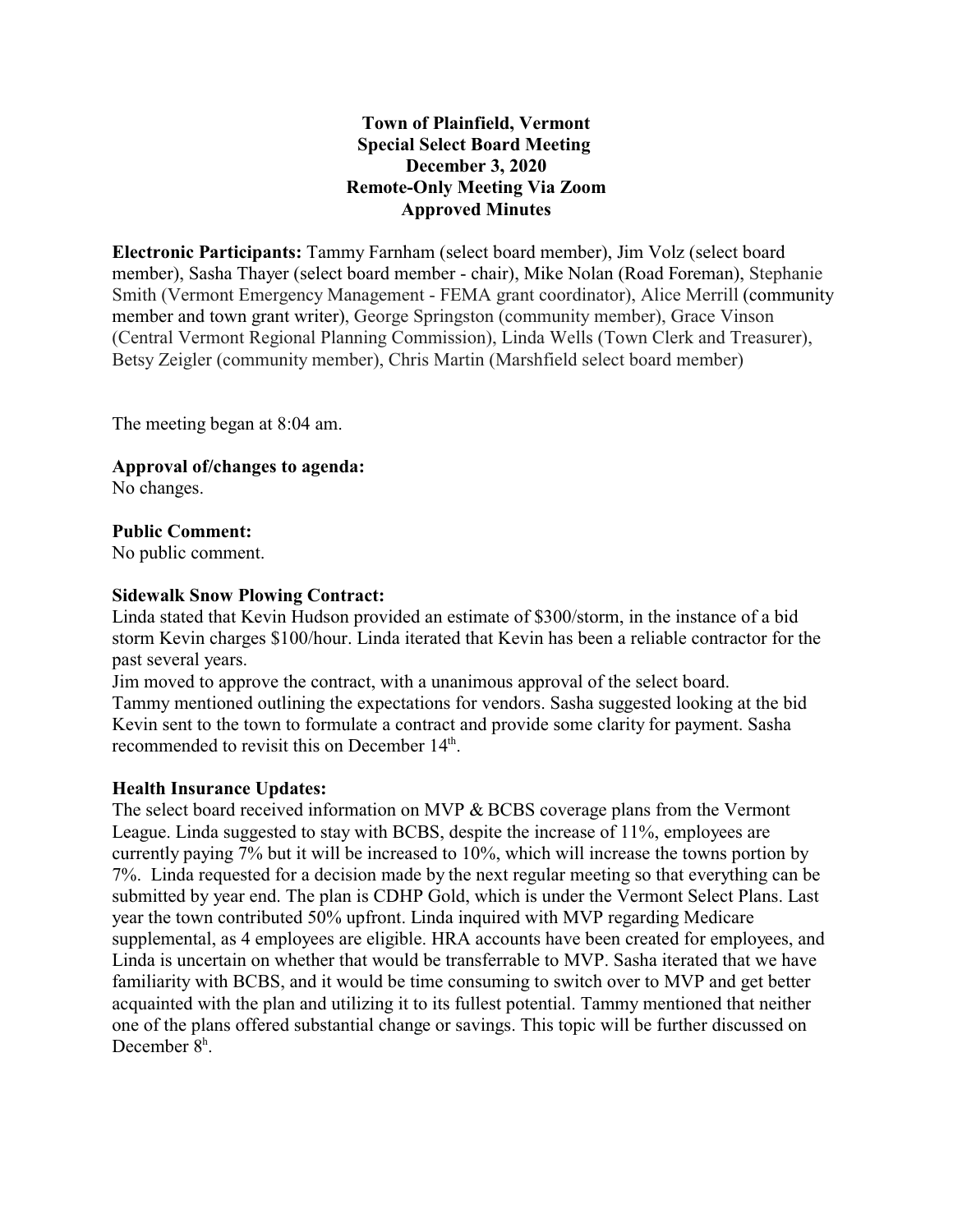## **Town of Plainfield, Vermont Special Select Board Meeting December 3, 2020 Remote-Only Meeting Via Zoom Approved Minutes**

**Electronic Participants:** Tammy Farnham (select board member), Jim Volz (select board member), Sasha Thayer (select board member - chair), Mike Nolan (Road Foreman), Stephanie Smith (Vermont Emergency Management - FEMA grant coordinator), Alice Merrill (community member and town grant writer), George Springston (community member), Grace Vinson (Central Vermont Regional Planning Commission), Linda Wells (Town Clerk and Treasurer), Betsy Zeigler (community member), Chris Martin (Marshfield select board member)

The meeting began at 8:04 am.

**Approval of/changes to agenda:** 

No changes.

### **Public Comment:**

No public comment.

#### **Sidewalk Snow Plowing Contract:**

Linda stated that Kevin Hudson provided an estimate of \$300/storm, in the instance of a bid storm Kevin charges \$100/hour. Linda iterated that Kevin has been a reliable contractor for the past several years.

Jim moved to approve the contract, with a unanimous approval of the select board. Tammy mentioned outlining the expectations for vendors. Sasha suggested looking at the bid Kevin sent to the town to formulate a contract and provide some clarity for payment. Sasha recommended to revisit this on December  $14<sup>th</sup>$ .

#### **Health Insurance Updates:**

The select board received information on MVP & BCBS coverage plans from the Vermont League. Linda suggested to stay with BCBS, despite the increase of 11%, employees are currently paying 7% but it will be increased to 10%, which will increase the towns portion by 7%. Linda requested for a decision made by the next regular meeting so that everything can be submitted by year end. The plan is CDHP Gold, which is under the Vermont Select Plans. Last year the town contributed 50% upfront. Linda inquired with MVP regarding Medicare supplemental, as 4 employees are eligible. HRA accounts have been created for employees, and Linda is uncertain on whether that would be transferrable to MVP. Sasha iterated that we have familiarity with BCBS, and it would be time consuming to switch over to MVP and get better acquainted with the plan and utilizing it to its fullest potential. Tammy mentioned that neither one of the plans offered substantial change or savings. This topic will be further discussed on December 8<sup>h</sup>.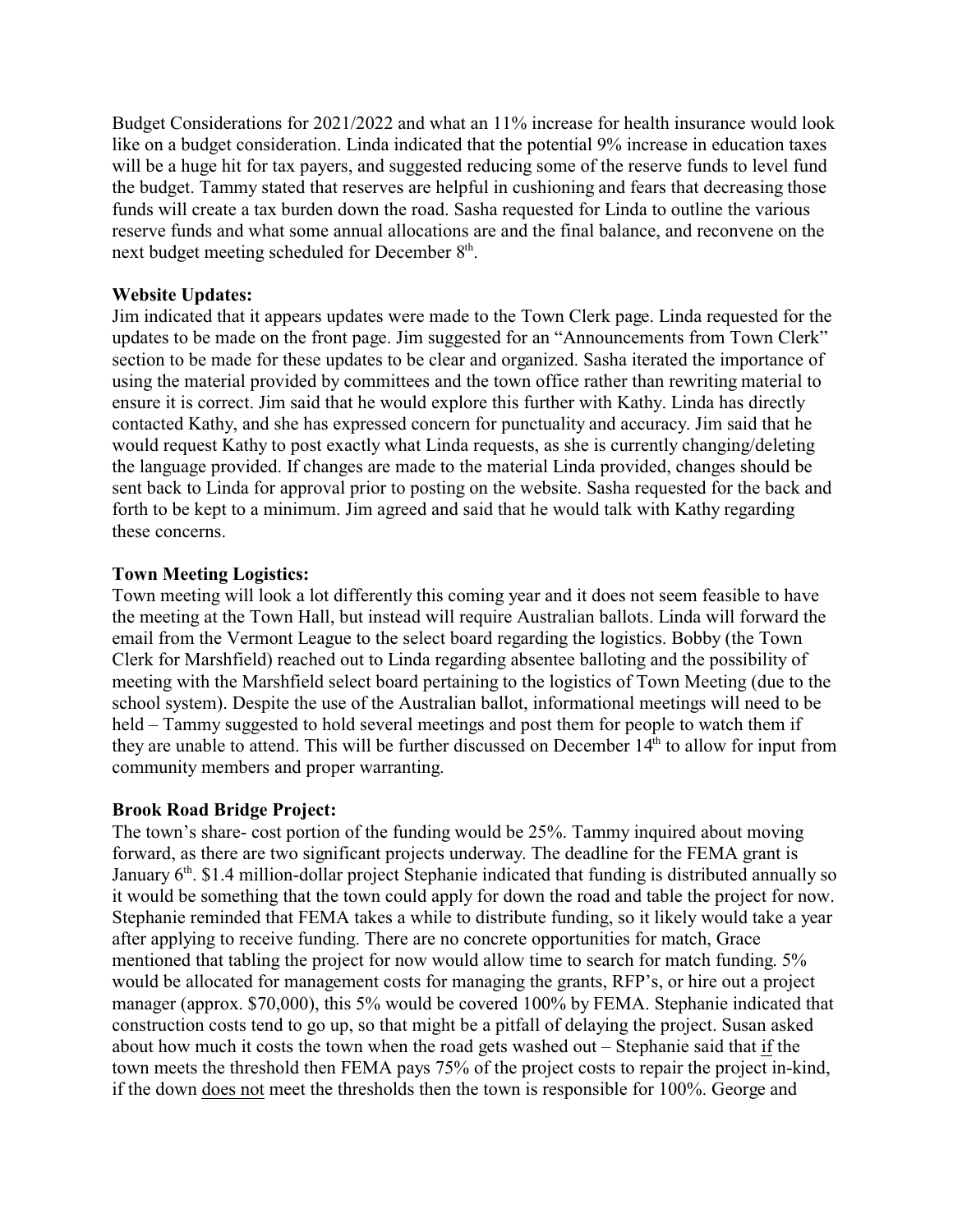Budget Considerations for 2021/2022 and what an 11% increase for health insurance would look like on a budget consideration. Linda indicated that the potential 9% increase in education taxes will be a huge hit for tax payers, and suggested reducing some of the reserve funds to level fund the budget. Tammy stated that reserves are helpful in cushioning and fears that decreasing those funds will create a tax burden down the road. Sasha requested for Linda to outline the various reserve funds and what some annual allocations are and the final balance, and reconvene on the next budget meeting scheduled for December 8<sup>th</sup>.

### **Website Updates:**

Jim indicated that it appears updates were made to the Town Clerk page. Linda requested for the updates to be made on the front page. Jim suggested for an "Announcements from Town Clerk" section to be made for these updates to be clear and organized. Sasha iterated the importance of using the material provided by committees and the town office rather than rewriting material to ensure it is correct. Jim said that he would explore this further with Kathy. Linda has directly contacted Kathy, and she has expressed concern for punctuality and accuracy. Jim said that he would request Kathy to post exactly what Linda requests, as she is currently changing/deleting the language provided. If changes are made to the material Linda provided, changes should be sent back to Linda for approval prior to posting on the website. Sasha requested for the back and forth to be kept to a minimum. Jim agreed and said that he would talk with Kathy regarding these concerns.

### **Town Meeting Logistics:**

Town meeting will look a lot differently this coming year and it does not seem feasible to have the meeting at the Town Hall, but instead will require Australian ballots. Linda will forward the email from the Vermont League to the select board regarding the logistics. Bobby (the Town Clerk for Marshfield) reached out to Linda regarding absentee balloting and the possibility of meeting with the Marshfield select board pertaining to the logistics of Town Meeting (due to the school system). Despite the use of the Australian ballot, informational meetings will need to be held – Tammy suggested to hold several meetings and post them for people to watch them if they are unable to attend. This will be further discussed on December 14<sup>th</sup> to allow for input from community members and proper warranting.

#### **Brook Road Bridge Project:**

The town's share- cost portion of the funding would be 25%. Tammy inquired about moving forward, as there are two significant projects underway. The deadline for the FEMA grant is January 6<sup>th</sup>. \$1.4 million-dollar project Stephanie indicated that funding is distributed annually so it would be something that the town could apply for down the road and table the project for now. Stephanie reminded that FEMA takes a while to distribute funding, so it likely would take a year after applying to receive funding. There are no concrete opportunities for match, Grace mentioned that tabling the project for now would allow time to search for match funding. 5% would be allocated for management costs for managing the grants, RFP's, or hire out a project manager (approx. \$70,000), this 5% would be covered 100% by FEMA. Stephanie indicated that construction costs tend to go up, so that might be a pitfall of delaying the project. Susan asked about how much it costs the town when the road gets washed out – Stephanie said that if the town meets the threshold then FEMA pays 75% of the project costs to repair the project in-kind, if the down does not meet the thresholds then the town is responsible for 100%. George and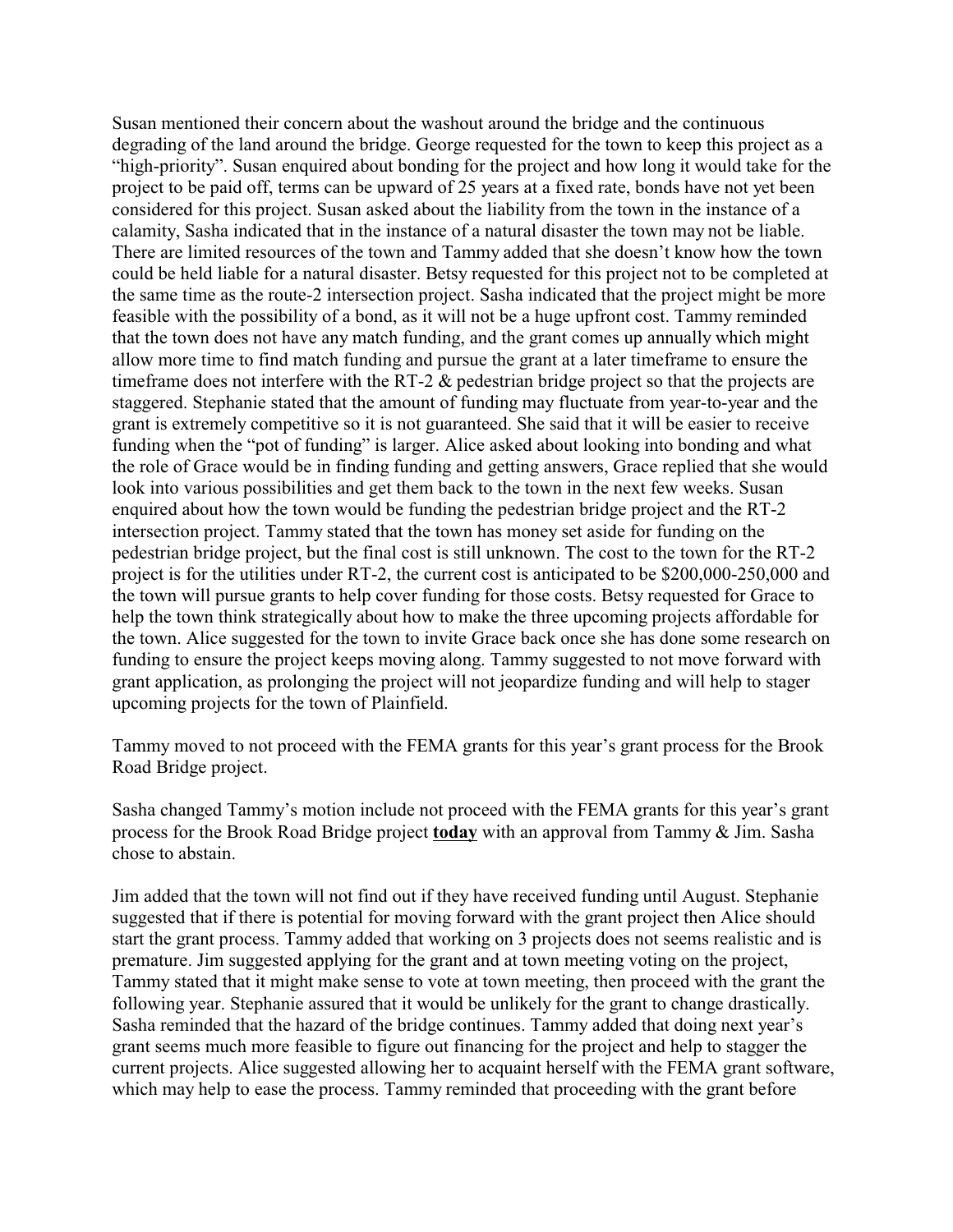Susan mentioned their concern about the washout around the bridge and the continuous degrading of the land around the bridge. George requested for the town to keep this project as a "high-priority". Susan enquired about bonding for the project and how long it would take for the project to be paid off, terms can be upward of 25 years at a fixed rate, bonds have not yet been considered for this project. Susan asked about the liability from the town in the instance of a calamity, Sasha indicated that in the instance of a natural disaster the town may not be liable. There are limited resources of the town and Tammy added that she doesn't know how the town could be held liable for a natural disaster. Betsy requested for this project not to be completed at the same time as the route-2 intersection project. Sasha indicated that the project might be more feasible with the possibility of a bond, as it will not be a huge upfront cost. Tammy reminded that the town does not have any match funding, and the grant comes up annually which might allow more time to find match funding and pursue the grant at a later timeframe to ensure the timeframe does not interfere with the RT-2 & pedestrian bridge project so that the projects are staggered. Stephanie stated that the amount of funding may fluctuate from year-to-year and the grant is extremely competitive so it is not guaranteed. She said that it will be easier to receive funding when the "pot of funding" is larger. Alice asked about looking into bonding and what the role of Grace would be in finding funding and getting answers, Grace replied that she would look into various possibilities and get them back to the town in the next few weeks. Susan enquired about how the town would be funding the pedestrian bridge project and the RT-2 intersection project. Tammy stated that the town has money set aside for funding on the pedestrian bridge project, but the final cost is still unknown. The cost to the town for the RT-2 project is for the utilities under RT-2, the current cost is anticipated to be \$200,000-250,000 and the town will pursue grants to help cover funding for those costs. Betsy requested for Grace to help the town think strategically about how to make the three upcoming projects affordable for the town. Alice suggested for the town to invite Grace back once she has done some research on funding to ensure the project keeps moving along. Tammy suggested to not move forward with grant application, as prolonging the project will not jeopardize funding and will help to stager upcoming projects for the town of Plainfield.

Tammy moved to not proceed with the FEMA grants for this year's grant process for the Brook Road Bridge project.

Sasha changed Tammy's motion include not proceed with the FEMA grants for this year's grant process for the Brook Road Bridge project **today** with an approval from Tammy & Jim. Sasha chose to abstain.

Jim added that the town will not find out if they have received funding until August. Stephanie suggested that if there is potential for moving forward with the grant project then Alice should start the grant process. Tammy added that working on 3 projects does not seems realistic and is premature. Jim suggested applying for the grant and at town meeting voting on the project, Tammy stated that it might make sense to vote at town meeting, then proceed with the grant the following year. Stephanie assured that it would be unlikely for the grant to change drastically. Sasha reminded that the hazard of the bridge continues. Tammy added that doing next year's grant seems much more feasible to figure out financing for the project and help to stagger the current projects. Alice suggested allowing her to acquaint herself with the FEMA grant software, which may help to ease the process. Tammy reminded that proceeding with the grant before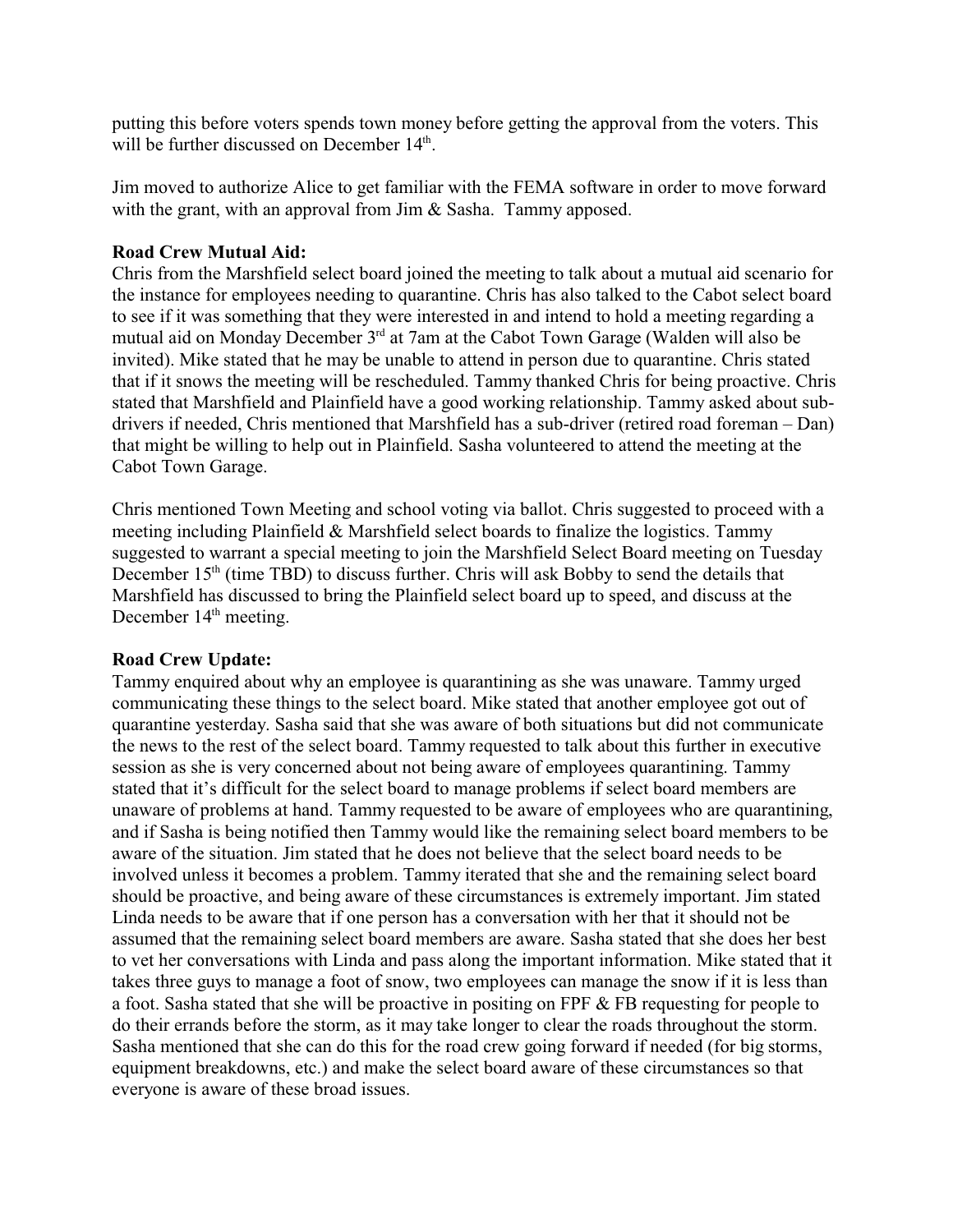putting this before voters spends town money before getting the approval from the voters. This will be further discussed on December 14<sup>th</sup>.

Jim moved to authorize Alice to get familiar with the FEMA software in order to move forward with the grant, with an approval from Jim & Sasha. Tammy apposed.

## **Road Crew Mutual Aid:**

Chris from the Marshfield select board joined the meeting to talk about a mutual aid scenario for the instance for employees needing to quarantine. Chris has also talked to the Cabot select board to see if it was something that they were interested in and intend to hold a meeting regarding a mutual aid on Monday December 3rd at 7am at the Cabot Town Garage (Walden will also be invited). Mike stated that he may be unable to attend in person due to quarantine. Chris stated that if it snows the meeting will be rescheduled. Tammy thanked Chris for being proactive. Chris stated that Marshfield and Plainfield have a good working relationship. Tammy asked about subdrivers if needed, Chris mentioned that Marshfield has a sub-driver (retired road foreman – Dan) that might be willing to help out in Plainfield. Sasha volunteered to attend the meeting at the Cabot Town Garage.

Chris mentioned Town Meeting and school voting via ballot. Chris suggested to proceed with a meeting including Plainfield & Marshfield select boards to finalize the logistics. Tammy suggested to warrant a special meeting to join the Marshfield Select Board meeting on Tuesday December 15<sup>th</sup> (time TBD) to discuss further. Chris will ask Bobby to send the details that Marshfield has discussed to bring the Plainfield select board up to speed, and discuss at the December 14<sup>th</sup> meeting.

## **Road Crew Update:**

Tammy enquired about why an employee is quarantining as she was unaware. Tammy urged communicating these things to the select board. Mike stated that another employee got out of quarantine yesterday. Sasha said that she was aware of both situations but did not communicate the news to the rest of the select board. Tammy requested to talk about this further in executive session as she is very concerned about not being aware of employees quarantining. Tammy stated that it's difficult for the select board to manage problems if select board members are unaware of problems at hand. Tammy requested to be aware of employees who are quarantining, and if Sasha is being notified then Tammy would like the remaining select board members to be aware of the situation. Jim stated that he does not believe that the select board needs to be involved unless it becomes a problem. Tammy iterated that she and the remaining select board should be proactive, and being aware of these circumstances is extremely important. Jim stated Linda needs to be aware that if one person has a conversation with her that it should not be assumed that the remaining select board members are aware. Sasha stated that she does her best to vet her conversations with Linda and pass along the important information. Mike stated that it takes three guys to manage a foot of snow, two employees can manage the snow if it is less than a foot. Sasha stated that she will be proactive in positing on FPF & FB requesting for people to do their errands before the storm, as it may take longer to clear the roads throughout the storm. Sasha mentioned that she can do this for the road crew going forward if needed (for big storms, equipment breakdowns, etc.) and make the select board aware of these circumstances so that everyone is aware of these broad issues.